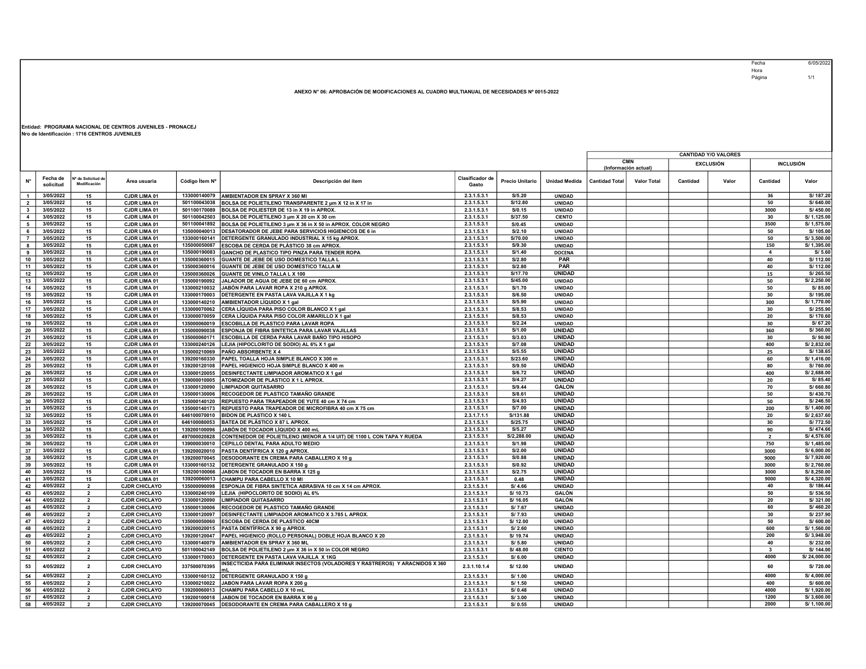Fecha 6/05/2022 Fecha<br>Hora Página 1/1

## ANEXO N° 06: APROBACIÓN DE MODIFICACIONES AL CUADRO MULTIANUAL DE NECESIDADES Nº 0015-2022

## Entidad: PROGRAMA NACIONAL DE CENTROS JUVENILES - PRONACEJ Nro de Identificación : 1716 CENTROS JUVENILES

|                |                       |                                    |                      |                |                                                                              |                                 |                 |                      | <b>CANTIDAD Y/O VALORES</b> |                      |          |                  |                |                  |  |
|----------------|-----------------------|------------------------------------|----------------------|----------------|------------------------------------------------------------------------------|---------------------------------|-----------------|----------------------|-----------------------------|----------------------|----------|------------------|----------------|------------------|--|
|                |                       |                                    |                      |                |                                                                              |                                 |                 |                      |                             | <b>CMN</b>           |          | <b>EXCLUSIÓN</b> |                | <b>INCLUSIÓN</b> |  |
|                |                       |                                    |                      |                |                                                                              |                                 |                 |                      |                             | (Información actual) |          |                  |                |                  |  |
| N°             | Fecha de<br>solicitud | Nº de Solicitud de<br>Modificación | Area usuaria         | Código Item Nº | Descripción del ítem                                                         | <b>Clasificador de</b><br>Gasto | Precio Unitario | <b>Unidad Medida</b> | <b>Cantidad Total</b>       | <b>Valor Total</b>   | Cantidad | Valor            | Cantidad       | Valor            |  |
|                |                       |                                    |                      |                |                                                                              |                                 |                 |                      |                             |                      |          |                  |                |                  |  |
| $\overline{1}$ | 3/05/2022             | 15                                 | CJDR LIMA 01         | 133000140079   | AMBIENTADOR EN SPRAY X 360 MI                                                | 2.3.1.5.3.1                     | S/5.20          | <b>UNIDAD</b>        |                             |                      |          |                  | 36             | S/187.20         |  |
| $\overline{2}$ | 3/05/2022             | 15                                 | <b>CJDR LIMA 01</b>  | 501100043038   | BOLSA DE POLIETILENO TRANSPARENTE 2 µm X 12 in X 17 in                       | 2.3.1.5.3.1                     | S/12.80         | <b>UNIDAD</b>        |                             |                      |          |                  | 50             | S/640.00         |  |
| $\mathbf{3}$   | 3/05/2022             | 15                                 | <b>CJDR LIMA 01</b>  | 501100170089   | BOLSA DE POLIESTER DE 13 in X 19 in APROX.                                   | 2.3.1.5.3.1                     | S/0.15          | <b>UNIDAD</b>        |                             |                      |          |                  | 3000           | S/450.00         |  |
| $\overline{4}$ | 3/05/2022             | 15                                 | CJDR LIMA 01         | 501100042503   | BOLSA DE POLIETILENO 3 µm X 20 cm X 30 cm                                    | 2.3.1.5.3.1                     | S/37.50         | <b>CIENTO</b>        |                             |                      |          |                  | 30             | S/ 1,125.00      |  |
| 5              | 3/05/2022             | 15                                 | CJDR LIMA 01         | 501100041892   | BOLSA DE POLIETILENO 3 µm X 36 in X 50 in APROX. COLOR NEGRO                 | 2.3.1.5.3.1                     | S/0.45          | UNIDAD               |                             |                      |          |                  | 3500           | S/ 1,575.00      |  |
| 6              | 3/05/2022             | 15                                 | CJDR LIMA 01         | 135000040013   | DESATORADOR DE JEBE PARA SERVICIOS HIGIENICOS DE 6 in                        | 2.3.1.5.3.1                     | S/2.10          | <b>UNIDAD</b>        |                             |                      |          |                  | 50             | S/105.00         |  |
| $\overline{7}$ | 3/05/2022             | 15                                 | <b>CJDR LIMA 01</b>  | 133000160141   | DETERGENTE GRANULADO INDUSTRIAL X 15 kg APROX.                               | 2.3.1.5.3.1                     | S/70.00         | UNIDAD               |                             |                      |          |                  | 50             | S/3,500.00       |  |
| 8              | 3/05/2022             | 15                                 | <b>CJDR LIMA 01</b>  | 135000050087   | ESCOBA DE CERDA DE PLÁSTICO 38 cm APROX.                                     | 2.3.1.5.3.1                     | S/9.30          | UNIDAD               |                             |                      |          |                  | 150            | S/ 1,395.00      |  |
| 9              | 3/05/2022             | 15                                 | CJDR LIMA 01         | 135000190083   | GANCHO DE PLASTICO TIPO PINZA PARA TENDER ROPA                               | 2.3.1.5.3.1                     | S/1.40          | <b>DOCENA</b>        |                             |                      |          |                  | $\overline{a}$ | S/5.60           |  |
| 10             | 3/05/2022             | 15                                 | <b>CJDR LIMA 01</b>  | 135000360015   | GUANTE DE JEBE DE USO DOMESTICO TALLA L                                      | 2.3.1.5.3.1                     | S/2.80          | PAR                  |                             |                      |          |                  | 40             | S/112.00         |  |
| 11             | 3/05/2022             | 15                                 | <b>CJDR LIMA 01</b>  | 135000360016   | GUANTE DE JEBE DE USO DOMESTICO TALLA M                                      | 2.3.1.5.3.1                     | S/2.80          | PAR                  |                             |                      |          |                  | 40             | S/ 112.00        |  |
| 12             | 3/05/2022             | 15                                 | <b>CJDR LIMA 01</b>  | 135000360026   | <b>GUANTE DE VINILO TALLA L X 100</b>                                        | 2.3.1.5.3.1                     | S/17.70         | <b>UNIDAD</b>        |                             |                      |          |                  | 15             | S/265.50         |  |
| 13             | 3/05/2022             | 15                                 | <b>CJDR LIMA 01</b>  | 135000190092   | JALADOR DE AGUA DE JEBE DE 60 cm APROX                                       | 2.3.1.5.3.1                     | S/45.00         | <b>UNIDAD</b>        |                             |                      |          |                  | 50             | S/2,250.00       |  |
| 14             | 3/05/2022             | 15                                 | CJDR LIMA 01         | 133000210032   | JABÓN PARA LAVAR ROPA X 210 g APROX.                                         | 2.3.1.5.3.1                     | S/1.70          | <b>UNIDAD</b>        |                             |                      |          |                  | 50             | S/85.00          |  |
| 15             | 3/05/2022             | 15                                 | <b>CJDR LIMA 01</b>  | 133000170003   | <b>DETERGENTE EN PASTA LAVA VAJILLA X 1 kg</b>                               | 2.3.1.5.3.1                     | S/6.50          | <b>UNIDAD</b>        |                             |                      |          |                  | 30             | S/195.00         |  |
| 16             | 3/05/2022             | 15                                 | <b>CJDR LIMA 01</b>  | 133000140210   | AMBIENTADOR LÍQUIDO X 1 gal                                                  | 2.3.1.5.3.1                     | S/5.90          | <b>UNIDAD</b>        |                             |                      |          |                  | 300            | S/ 1,770.00      |  |
| 17             | 3/05/2022             | 15                                 | <b>CJDR LIMA 01</b>  | 133000070062   | CERA LÍQUIDA PARA PISO COLOR BLANCO X 1 gal                                  | 2.3.1.5.3.1                     | S/8.53          | <b>UNIDAD</b>        |                             |                      |          |                  | 30             | S/255.90         |  |
| 18             | 3/05/2022             | 15                                 | <b>CJDR LIMA 01</b>  | 133000070059   | CERA LÍQUIDA PARA PISO COLOR AMARILLO X 1 gal                                | 2.3.1.5.3.1                     | S/8.53          | UNIDAD               |                             |                      |          |                  | 20             | S/ 170.60        |  |
| 19             | 3/05/2022             | 15                                 | <b>CJDR LIMA 01</b>  | 135000060019   | ESCOBILLA DE PLASTICO PARA LAVAR ROPA                                        | 2.3.1.5.3.1                     | S/2.24          | UNIDAD               |                             |                      |          |                  | 30             | S/67.20          |  |
| 20             | 3/05/2022             | 15                                 | <b>CJDR LIMA 01</b>  | 135000090038   | ESPONJA DE FIBRA SINTETICA PARA LAVAR VAJILLAS                               | 2.3.1.5.3.1                     | S/1.00          | <b>UNIDAD</b>        |                             |                      |          |                  | 360            | S/360.00         |  |
| 21             | 3/05/2022             | 15                                 | <b>CJDR LIMA 01</b>  | 135000060171   | ESCOBILLA DE CERDA PARA LAVAR BAÑO TIPO HISOPO                               | 2.3.1.5.3.1                     | S/3.03          | <b>UNIDAD</b>        |                             |                      |          |                  | 30             | S/90.90          |  |
| 22             | 3/05/2022             | 15                                 | <b>CJDR LIMA 01</b>  | 133000240126   | LEJIA (HIPOCLORITO DE SODIO) AL 6% X 1 gal                                   | 2.3.1.5.3.1                     | S/7.08          | <b>UNIDAD</b>        |                             |                      |          |                  | 400            | S/2,832.00       |  |
| 23             | 3/05/2022             | 15                                 | <b>CJDR LIMA 01</b>  | 135000210069   | PAÑO ABSORBENTE X 4                                                          | 2.3.1.5.3.1                     | S/5.55          | <b>UNIDAD</b>        |                             |                      |          |                  | 25             | S/ 138.65        |  |
| 24             | 3/05/2022             | 15                                 | CJDR LIMA 01         | 139200160330   | PAPEL TOALLA HOJA SIMPLE BLANCO X 300 m                                      | 2.3.1.5.3.1                     | S/23.60         | <b>UNIDAD</b>        |                             |                      |          |                  | 60             | S/ 1,416.00      |  |
| 25             | 3/05/2022             | 15                                 | CJDR LIMA 01         | 139200120108   | PAPEL HIGIENICO HOJA SIMPLE BLANCO X 400 m                                   | 2.3.1.5.3.1                     | S/9.50          | <b>UNIDAD</b>        |                             |                      |          |                  | 80             | S/760.00         |  |
| 26             | 3/05/2022             | 15                                 | <b>CJDR LIMA 01</b>  | 133000120055   | <b>DESINFECTANTE LIMPIADOR AROMATICO X 1 gal</b>                             | 2.3.1.5.3.1                     | S/6.72          | <b>UNIDAD</b>        |                             |                      |          |                  | 400            | S/2,688.00       |  |
| 27             | 3/05/2022             | 15                                 | <b>CJDR LIMA 01</b>  | 139000010005   | <b>ATOMIZADOR DE PLASTICO X 1 L APROX.</b>                                   | 2.3.1.5.3.1                     | S/4.27          | <b>UNIDAD</b>        |                             |                      |          |                  | 20             | S/85.40          |  |
| 28             | 3/05/2022             | 15                                 | <b>CJDR LIMA 01</b>  | 133000120090   | <b>LIMPIADOR QUITASARRO</b>                                                  | 2.3.1.5.3.1                     | S/9.44          | <b>GALON</b>         |                             |                      |          |                  | 70             | S/660.80         |  |
| 29             | 3/05/2022             | 15                                 | <b>CJDR LIMA 01</b>  | 135000130006   | RECOGEDOR DE PLASTICO TAMAÑO GRANDE                                          | 2.3.1.5.3.1                     | S/8.61          | <b>UNIDAD</b>        |                             |                      |          |                  | 50             | S/430.70         |  |
| 30             | 3/05/2022             | 15                                 | <b>CJDR LIMA 01</b>  | 135000140120   | REPUESTO PARA TRAPEADOR DE YUTE 40 cm X 74 cm                                | 2.3.1.5.3.1                     | S/4.93          | <b>UNIDAD</b>        |                             |                      |          |                  | 50             | S/246.50         |  |
| 31             | 3/05/2022             | 15                                 | <b>CJDR LIMA 01</b>  | 135000140173   | REPUESTO PARA TRAPEADOR DE MICROFIBRA 40 cm X 75 cm                          | 2.3.1.5.3.1                     | S/7.00          | <b>UNIDAD</b>        |                             |                      |          |                  | 200            | S/ 1,400.00      |  |
| 32             | 3/05/2022             | 15                                 | CJDR LIMA 01         | 646100070010   | <b>BIDON DE PLASTICO X 140 L</b>                                             | 2.3.1.7.1.1                     | S/131.88        | <b>UNIDAD</b>        |                             |                      |          |                  | 20             | S/2,637.60       |  |
| 33             | 3/05/2022             | 15                                 | <b>CJDR LIMA 01</b>  | 646100080053   | <b>BATEA DE PLÁSTICO X 87 L APROX.</b>                                       | 2.3.1.5.3.1                     | S/25.75         | <b>UNIDAD</b>        |                             |                      |          |                  | 30             | S/772.50         |  |
| 34             | 3/05/2022             | 15                                 | <b>CJDR LIMA 01</b>  | 139200100096   | JABÓN DE TOCADOR LÍQUIDO X 400 mL                                            | 2.3.1.5.3.1                     | S/5.27          | <b>UNIDAD</b>        |                             |                      |          |                  | 90             | S/474.66         |  |
| 35             | 3/05/2022             | 15                                 | CJDR LIMA 01         | 497000020828   | CONTENEDOR DE POLIETILENO (MENOR A 1/4 UIT) DE 1100 L CON TAPA Y RUEDA       | 2.3.1.5.3.1                     | S/2.288.00      | <b>UNIDAD</b>        |                             |                      |          |                  | $\overline{2}$ | S/4.576.00       |  |
| 36             | 3/05/2022             | 15                                 | <b>CJDR LIMA 01</b>  | 139000030010   | CEPILLO DENTAL PARA ADULTO MEDIO                                             | 2.3.1.5.3.1                     | S/1.98          | <b>UNIDAD</b>        |                             |                      |          |                  | 750            | S/ 1,485.00      |  |
| 37             | 3/05/2022             | 15                                 | CJDR LIMA 01         | 139200020010   | PASTA DENTÍFRICA X 120 g APROX.                                              | 2.3.1.5.3.1                     | S/2.00          | <b>UNIDAD</b>        |                             |                      |          |                  | 3000           | S/6,000.00       |  |
| 38             | 3/05/2022             | 15                                 | <b>CJDR LIMA 01</b>  | 139200070045   | DESODORANTE EN CREMA PARA CABALLERO X 10 g                                   | 2.3.1.5.3.1                     | S/0.88          | <b>UNIDAD</b>        |                             |                      |          |                  | 9000           | S/7,920.00       |  |
| 39             | 3/05/2022             | 15                                 | CJDR LIMA 01         | 133000160132   | <b>DETERGENTE GRANULADO X 150 g</b>                                          | 2.3.1.5.3.1                     | S/0.92          | <b>UNIDAD</b>        |                             |                      |          |                  | 3000           | S/2,760.00       |  |
| 40             | 3/05/2022             | 15                                 | <b>CJDR LIMA 01</b>  | 139200100066   | JABON DE TOCADOR EN BARRA X 125 g                                            | 2.3.1.5.3.1                     | S/2.75          | <b>UNIDAD</b>        |                             |                      |          |                  | 3000           | S/8,250.00       |  |
| 41             | 3/05/2022             | 15                                 | <b>CJDR LIMA 01</b>  | 139200060013   | CHAMPU PARA CABELLO X 10 MI                                                  | 2.3.1.5.3.1                     | 0.48            | <b>UNIDAD</b>        |                             |                      |          |                  | 9000           | S/ 4,320.00      |  |
| 42             | 4/05/2022             | $\overline{2}$                     | <b>CJDR CHICLAYO</b> | 135000090098   | ESPONJA DE FIBRA SINTETICA ABRASIVA 10 cm X 14 cm APROX.                     | 2.3.1.5.3.1                     | S/ 4.66         | <b>UNIDAD</b>        |                             |                      |          |                  | 40             | S/ 186.44        |  |
| 43             | 4/05/2022             | $\overline{2}$                     | <b>CJDR CHICLAYO</b> | 133000240109   | LEJIA (HIPOCLORITO DE SODIO) AL 6%                                           | 2.3.1.5.3.1                     | S/10.73         | GALÓN                |                             |                      |          |                  | 50             | S/ 536.50        |  |
| 44             | 4/05/2022             | $\overline{2}$                     | <b>CJDR CHICLAYO</b> | 133000120090   | <b>LIMPIADOR QUITASARRO</b>                                                  | 2.3.1.5.3.1                     | S/ 16.05        | <b>GALÓN</b>         |                             |                      |          |                  | 20             | S/321.00         |  |
| 45             | 4/05/2022             | $\overline{2}$                     | <b>CJDR CHICLAYO</b> | 135000130006   | RECOGEDOR DE PLASTICO TAMAÑO GRANDE                                          | 2.3.1.5.3.1                     | S/7.67          | <b>UNIDAD</b>        |                             |                      |          |                  | 60             | S/460.20         |  |
| 46             | 4/05/2022             | $\overline{2}$                     | <b>CJDR CHICLAYO</b> | 133000120097   | DESINFECTANTE LIMPIADOR AROMATICO X 3.785 L APROX.                           | 2.3.1.5.3.1                     | S/7.93          | <b>UNIDAD</b>        |                             |                      |          |                  | 30             | S/237.90         |  |
| 47             | 4/05/2022             | $\overline{2}$                     | <b>CJDR CHICLAYO</b> | 135000050060   | ESCOBA DE CERDA DE PLASTICO 40CM                                             | 2.3.1.5.3.1                     | S/ 12.00        | <b>UNIDAD</b>        |                             |                      |          |                  | 50             | S/600.00         |  |
| 48             | 4/05/2022             | $\overline{2}$                     | <b>CJDR CHICLAYO</b> | 139200020015   | <b>PASTA DENTÍFRICA X 90 g APROX.</b>                                        | 2.3.1.5.3.1                     | S/2.60          | <b>UNIDAD</b>        |                             |                      |          |                  | 600            | S/ 1,560.00      |  |
| 49             | 4/05/2022             | $\overline{2}$                     | <b>CJDR CHICLAYO</b> | 139200120047   | PAPEL HIGIENICO (ROLLO PERSONAL) DOBLE HOJA BLANCO X 20                      | 2.3.1.5.3.1                     | S/ 19.74        | <b>UNIDAD</b>        |                             |                      |          |                  | 200            | S/3,948.00       |  |
| 50             | 4/05/2022             | $\overline{2}$                     | <b>CJDR CHICLAYO</b> | 133000140079   | AMBIENTADOR EN SPRAY X 360 ML                                                | 2.3.1.5.3.1                     | S/5.80          | <b>UNIDAD</b>        |                             |                      |          |                  | 40             | S/232.00         |  |
| 51             | 4/05/2022             | $\overline{2}$                     | <b>CJDR CHICLAYO</b> | 501100042149   | BOLSA DE POLIETILENO 2 µm X 36 in X 50 in COLOR NEGRO                        | 2.3.1.5.3.1                     | S/48.00         | <b>CIENTO</b>        |                             |                      |          |                  | $\mathbf{3}$   | S/ 144.00        |  |
| 52             | 4/05/2022             | $\overline{2}$                     | <b>CJDR CHICLAYO</b> | 133000170003   | DETERGENTE EN PASTA LAVA VAJILLA X 1KG                                       | 2.3.1.5.3.1                     | S/6.00          | <b>UNIDAD</b>        |                             |                      |          |                  | 4000           | S/24,000.00      |  |
| 53             | 4/05/2022             | $\overline{2}$                     | <b>CJDR CHICLAYO</b> | 337500070395   | INSECTICIDA PARA ELIMINAR INSECTOS (VOLADORES Y RASTREROS) Y ARACNIDOS X 360 | 2.3.1.10.1.4                    | S/12.00         | <b>UNIDAD</b>        |                             |                      |          |                  | 60             | S/720.00         |  |
|                |                       |                                    |                      |                |                                                                              |                                 |                 |                      |                             |                      |          |                  |                |                  |  |
| 54             | 4/05/2022             | $\overline{2}$                     | <b>CJDR CHICLAYO</b> | 133000160132   | <b>DETERGENTE GRANULADO X 150 g</b>                                          | 2.3.1.5.3.1                     | S/1.00          | <b>UNIDAD</b>        |                             |                      |          |                  | 4000           | S/4,000.00       |  |
| 55             | 4/05/2022             | $\overline{2}$                     | <b>CJDR CHICLAYO</b> | 133000210022   | JABON PARA LAVAR ROPA X 200 g                                                | 2.3.1.5.3.1                     | S/ 1.50         | <b>UNIDAD</b>        |                             |                      |          |                  | 400            | S/600.00         |  |
| 56             | 4/05/2022             | $\overline{2}$                     | <b>CJDR CHICLAYO</b> | 139200060013   | CHAMPU PARA CABELLO X 10 mL                                                  | 2.3.1.5.3.1                     | S/0.48          | <b>UNIDAD</b>        |                             |                      |          |                  | 4000           | S/ 1,920.00      |  |
| 57             | 4/05/2022             | $\overline{2}$                     | <b>CJDR CHICLAYO</b> | 139200100018   | JABON DE TOCADOR EN BARRA X 90 g                                             | 2.3.1.5.3.1                     | S/3.00          | <b>UNIDAD</b>        |                             |                      |          |                  | 1200           | S/3,600.00       |  |
| 58             | 4/05/2022             | $\overline{2}$                     | <b>CJDR CHICLAYO</b> | 139200070045   | <b>DESODORANTE EN CREMA PARA CABALLERO X 10 g</b>                            | 2.3.1.5.3.1                     | S/0.55          | <b>UNIDAD</b>        |                             |                      |          |                  | 2000           | S/ 1,100.00      |  |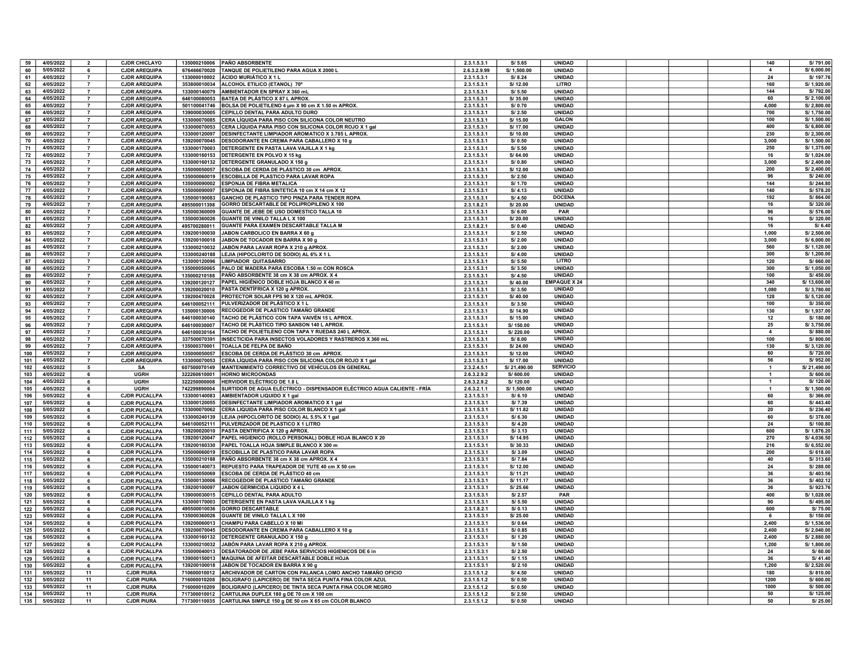| 59  | 4/05/2022              | $\overline{2}$ | <b>CJDR CHICLAYO</b> |              | 135000210006 PAÑO ABSORBENTE                                            | 2.3.1.5.3.1  | S/5.65            | UNIDAD              |  | 140                     | S/791.00                |
|-----|------------------------|----------------|----------------------|--------------|-------------------------------------------------------------------------|--------------|-------------------|---------------------|--|-------------------------|-------------------------|
| 60  | 5/05/2022              | 6              | <b>CJDR AREQUIPA</b> |              | 676466670020 TANQUE DE POLIETILENO PARA AGUA X 2000 L                   | 2.6.3.2.9.99 | S/ 1,500.00       | <b>UNIDAD</b>       |  | $\overline{4}$          | S/6,000.00              |
| 61  | 4/05/2022              | $\overline{7}$ | <b>CJDR AREQUIPA</b> |              | 133000010002   ÁCIDO MURIÁTICO X 1 L                                    | 2.3.1.5.3.1  | S/8.24            | <b>UNIDAD</b>       |  | 24                      | S/ 197.76               |
| 62  | 4/05/2022              | $\overline{7}$ | <b>CJDR AREQUIPA</b> |              | 353800010034 ALCOHOL ETILICO (ETANOL) 70°                               | 2.3.1.5.3.1  | S/ 12.00          | LITRO               |  | 160                     | S/ 1,920.00             |
| 63  | 4/05/2022              | $\overline{7}$ | <b>CJDR AREQUIPA</b> |              | 133000140079 AMBIENTADOR EN SPRAY X 360 mL                              | 2.3.1.5.3.1  | S/5.50            | UNIDAD              |  | 144                     | S/792.00                |
| 64  | 4/05/2022              | $\overline{7}$ | <b>CJDR AREQUIPA</b> |              | 646100080053 BATEA DE PLÁSTICO X 87 L APROX.                            | 2.3.1.5.3.1  | S/35.00           | UNIDAD              |  | 60                      | S/2.100.00              |
| 65  | 4/05/2022              | $\overline{7}$ | <b>CJDR AREQUIPA</b> |              | 501100041746 BOLSA DE POLIETILENO 4 um X 90 cm X 1.50 m APROX.          | 2.3.1.5.3.1  | S/0.70            | UNIDAD              |  | 4,000                   | S/2,800.00              |
|     | 4/05/2022              | $\overline{7}$ |                      |              |                                                                         |              |                   | <b>UNIDAD</b>       |  | 700                     | S/ 1,750.00             |
| 66  |                        |                | <b>CJDR AREQUIPA</b> |              | 139000030005 CEPILLO DENTAL PARA ADULTO DURO                            | 2.3.1.5.3.1  | S/2.50            |                     |  |                         |                         |
| 67  | 4/05/2022              | $\overline{7}$ | <b>CJDR AREQUIPA</b> |              | 133000070085 CERA LÍQUIDA PARA PISO CON SILICONA COLOR NEUTRO           | 2.3.1.5.3.1  | S/ 15.00          | <b>GALON</b>        |  | 100                     | S/ 1,500.00             |
| 68  | 4/05/2022              | $\overline{7}$ | <b>CJDR AREQUIPA</b> |              | 133000070053 CERA LÍQUIDA PARA PISO CON SILICONA COLOR ROJO X 1 gal     | 2.3.1.5.3.1  | S/17.00           | <b>UNIDAD</b>       |  | 400                     | S/6,800.00              |
| 69  | 4/05/2022              | $\overline{7}$ | <b>CJDR AREQUIPA</b> |              | 133000120097   DESINFECTANTE LIMPIADOR AROMATICO X 3.785 L APROX.       | 2.3.1.5.3.1  | S/ 10.00          | <b>UNIDAD</b>       |  | 230                     | S/2,300.00              |
| 70  | 4/05/2022              | $\overline{7}$ | <b>CJDR AREQUIPA</b> |              | 139200070045   DESODORANTE EN CREMA PARA CABALLERO X 10 g               | 2.3.1.5.3.1  | S/0.50            | <b>UNIDAD</b>       |  | 3,000                   | S/ 1,500.00             |
| 71  | 4/05/2022              | $\overline{7}$ | <b>CJDR AREQUIPA</b> |              | 133000170003 DETERGENTE EN PASTA LAVA VAJILLA X 1 kg                    | 2.3.1.5.3.1  | S/5.50            | <b>UNIDAD</b>       |  | 250                     | S/ 1,375.00             |
| 72  | 4/05/2022              | $\overline{7}$ | <b>CJDR AREQUIPA</b> |              | 133000160153 DETERGENTE EN POLVO X 15 kg                                | 2.3.1.5.3.1  | S/64.00           | <b>UNIDAD</b>       |  | 16                      | S/ 1,024.00             |
| 73  | 4/05/2022              | $\overline{7}$ | <b>CJDR AREQUIPA</b> |              | 133000160132 DETERGENTE GRANULADO X 150 g                               | 2.3.1.5.3.1  | S/0.80            | UNIDAD              |  | 3,000                   | S/2,400.00              |
| 74  | 4/05/2022              | $\overline{7}$ | <b>CJDR AREQUIPA</b> |              | 135000050057 ESCOBA DE CERDA DE PLÁSTICO 30 cm APROX.                   | 2.3.1.5.3.1  | S/ 12.00          | UNIDAD              |  | 200                     | S/2,400.00              |
| 75  | 4/05/2022              | $\overline{7}$ | <b>CJDR AREQUIPA</b> |              | 135000060019 ESCOBILLA DE PLASTICO PARA LAVAR ROPA                      | 2.3.1.5.3.1  | S/2.50            | UNIDAD              |  | 96                      | S/240.00                |
| 76  | 4/05/2022              | $\overline{7}$ | <b>CJDR AREQUIPA</b> |              | 135000090002 ESPONJA DE FIBRA METALICA                                  | 2.3.1.5.3.1  | S/1.70            | <b>UNIDAD</b>       |  | 144                     | S/244.80                |
| 77  | 4/05/2022              | $\overline{7}$ | <b>CJDR AREQUIPA</b> |              | 135000090097 ESPONJA DE FIBRA SINTETICA 10 cm X 14 cm X 12              | 2.3.1.5.3.1  | S/4.13            | <b>UNIDAD</b>       |  | 140                     | S/ 578.20               |
| 78  | 4/05/2022              | $\overline{7}$ | <b>CJDR AREQUIPA</b> |              | 135000190083 GANCHO DE PLASTICO TIPO PINZA PARA TENDER ROPA             | 2.3.1.5.3.1  | S/ 4.50           | <b>DOCENA</b>       |  | 192                     | S/864.00                |
| 79  | 4/05/2022              | $\overline{7}$ | <b>CJDR AREQUIPA</b> | 495500011398 | GORRO DESCARTABLE DE POLIPROPILENO X 100                                | 2.3.1.8.2.1  | S/20.00           | <b>UNIDAD</b>       |  | 16                      | S/320.00                |
| 80  | 4/05/2022              | $\overline{7}$ | <b>CJDR AREQUIPA</b> | 135000360009 | GUANTE DE JEBE DE USO DOMESTICO TALLA 10                                | 2.3.1.5.3.1  | S/6.00            | PAR                 |  | 96                      | S/576.00                |
| 81  | 4/05/2022              | $\overline{7}$ | <b>CJDR AREQUIPA</b> |              | 135000360026 GUANTE DE VINILO TALLA L X 100                             | 2.3.1.5.3.1  | S/20.00           | UNIDAD              |  | 16                      | S/320.00                |
| 82  | 4/05/2022              | $\overline{7}$ | <b>CJDR AREQUIPA</b> | 495700280011 | GUANTE PARA EXAMEN DESCARTABLE TALLA M                                  | 2.3.1.8.2.1  | S/ 0.40           | UNIDAD              |  | 16                      | S/6.40                  |
| 83  | 4/05/2022              | $\overline{7}$ | <b>CJDR AREQUIPA</b> | 139200100030 | JABON CARBOLICO EN BARRA X 60 g                                         | 2.3.1.5.3.1  | S/2.50            | UNIDAD              |  | 1,000                   | S/2,500.00              |
| 84  | 4/05/2022              | $\overline{7}$ | <b>CJDR AREQUIPA</b> | 139200100018 | JABON DE TOCADOR EN BARRA X 90 g                                        | 2.3.1.5.3.1  | S/2.00            | <b>UNIDAD</b>       |  | 3.000                   | S/6,000.00              |
|     |                        | $\overline{7}$ |                      |              |                                                                         |              |                   | <b>UNIDAD</b>       |  | 560                     |                         |
| 85  | 4/05/2022              | $\overline{7}$ | <b>CJDR AREQUIPA</b> | 133000210032 | JABÓN PARA LAVAR ROPA X 210 g APROX.                                    | 2.3.1.5.3.1  | S/2.00            |                     |  |                         | S/ 1,120.00             |
| 86  | 4/05/2022<br>4/05/2022 | $\overline{7}$ | <b>CJDR AREQUIPA</b> | 133000240188 | LEJIA (HIPOCLORITO DE SODIO) AL 6% X 1 L                                | 2.3.1.5.3.1  | S/4.00            | UNIDAD              |  | 300<br>120              | S/ 1,200.00<br>S/660.00 |
| 87  |                        |                | <b>CJDR AREQUIPA</b> | 133000120096 | LIMPIADOR QUITASARRO                                                    | 2.3.1.5.3.1  | S/5.50            | LITRO               |  |                         |                         |
| 88  | 4/05/2022              | $\overline{7}$ | <b>CJDR AREQUIPA</b> | 135000050065 | PALO DE MADERA PARA ESCOBA 1.50 m CON ROSCA                             | 2.3.1.5.3.1  | S/3.50            | UNIDAD              |  | 300                     | S/ 1.050.00             |
| 89  | 4/05/2022              | $\overline{7}$ | <b>CJDR AREQUIPA</b> | 135000210188 | PAÑO ABSORBENTE 38 cm X 38 cm APROX. X 4                                | 2.3.1.5.3.1  | S/ 4.50           | <b>UNIDAD</b>       |  | 100                     | S/450.00                |
| 90  | 4/05/2022              | $\overline{7}$ | <b>CJDR AREQUIPA</b> | 139200120127 | PAPEL HIGIÉNICO DOBLE HOJA BLANCO X 40 m                                | 2.3.1.5.3.1  | S/40.00           | <b>EMPAQUE X 24</b> |  | 340                     | S/13,600.00             |
| 91  | 4/05/2022              | $\overline{7}$ | <b>CJDR AREQUIPA</b> | 139200020010 | PASTA DENTÍFRICA X 120 g APROX.                                         | 2.3.1.5.3.1  | S/3.50            | <b>UNIDAD</b>       |  | 1,080                   | S/3,780.00              |
| 92  | 4/05/2022              | $\overline{7}$ | <b>CJDR AREQUIPA</b> |              | 139200470028   PROTECTOR SOLAR FPS 90 X 120 mL APROX.                   | 2.3.1.5.3.1  | S/40.00           | <b>UNIDAD</b>       |  | 128                     | S/ 5,120.00             |
| 93  | 4/05/2022              | $\overline{7}$ | <b>CJDR AREQUIPA</b> |              | 646100052111   PULVERIZADOR DE PLÁSTICO X 1 L                           | 2.3.1.5.3.1  | S/3.50            | <b>UNIDAD</b>       |  | 100                     | S/350.00                |
| 94  | 4/05/2022              | $\overline{7}$ | <b>CJDR AREQUIPA</b> | 135000130006 | RECOGEDOR DE PLASTICO TAMAÑO GRANDE                                     | 2.3.1.5.3.1  | S/ 14.90          | <b>UNIDAD</b>       |  | $\frac{1}{130}$         | S/ 1,937.00             |
| 95  | 4/05/2022              | $\overline{7}$ | <b>CJDR AREQUIPA</b> | 646100030140 | TACHO DE PLÁSTICO CON TAPA VAIVÉN 15 L APROX.                           | 2.3.1.5.3.1  | S/ 15.00          | UNIDAD              |  | 12                      | S/180.00                |
| 96  | 4/05/2022              | $\overline{7}$ | <b>CJDR AREQUIPA</b> | 646100030007 | TACHO DE PLÁSTICO TIPO SANSON 140 L APROX.                              | 2.3.1.5.3.1  | S/150.00          | UNIDAD              |  | 25                      | S/3.750.00              |
| 97  | 4/05/2022              | $\overline{7}$ | <b>CJDR AREQUIPA</b> | 646100030164 | TACHO DE POLIETILENO CON TAPA Y RUEDAS 240 L APROX.                     | 2.3.1.5.3.1  | S/220.00          | UNIDAD              |  | $\overline{\mathbf{4}}$ | S/880.00                |
| 98  | 4/05/2022              | $\overline{7}$ | <b>CJDR AREQUIPA</b> | 337500070391 | INSECTICIDA PARA INSECTOS VOLADORES Y RASTREROS X 360 mL                | 2.3.1.5.3.1  | S/ 8.00           | <b>UNIDAD</b>       |  | 100                     | S/800.00                |
| 99  | 4/05/2022              | $\overline{7}$ | <b>CJDR AREQUIPA</b> | 135000370001 | TOALLA DE FELPA DE BAÑO                                                 | 2.3.1.5.3.1  | S/24.00           | <b>UNIDAD</b>       |  | 130                     | S/3,120.00              |
| 100 | 4/05/2022              | $\overline{7}$ | <b>CJDR AREQUIPA</b> | 135000050057 | ESCOBA DE CERDA DE PLÁSTICO 30 cm APROX.                                | 2.3.1.5.3.1  | S/ 12.00          | <b>UNIDAD</b>       |  | 60                      | S/720.00                |
| 101 | 4/05/2022              | $\overline{7}$ | <b>CJDR AREQUIPA</b> |              | 133000070053 CERA LÍQUIDA PARA PISO CON SILICONA COLOR ROJO X 1 gal     | 2.3.1.5.3.1  | S/ 17.00          | <b>UNIDAD</b>       |  | 56                      | S/952.00                |
| 102 | 4/05/2022              | 5              | SΑ                   | 607500070149 | <b>MANTENIMIENTO CORRECTIVO DE VEHÍCULOS EN GENERAL</b>                 | 2.3.2.4.5.1  | S/21,490.00       | <b>SERVICIO</b>     |  | $\mathbf{1}$            | S/21,490.00             |
| 103 | 4/05/2022              | 6              | <b>UGRH</b>          | 322260610001 | <b>HORNO MICROONDAS</b>                                                 | 2.6.3.2.9.2  | S/600.00          | <b>UNIDAD</b>       |  | $\blacktriangleleft$    | S/600.00                |
| 104 | 4/05/2022              | 6              | LIGRH                | 322250000008 | HERVIDOR ELÉCTRICO DE 1.8 L                                             | 2.6.3.2.9.2  | S/120.00          | <b>IINIDAD</b>      |  | $\blacktriangleleft$    | S/ 120.00               |
| 105 | 4/05/2022              | 6              | <b>UGRH</b>          | 742299890004 | SURTIDOR DE AGUA ELÉCTRICO - DISPENSADOR ELÉCTRICO AGUA CALIENTE - FRÍA | 2.6.3.2.1.1  | S/ 1.500.00       | UNIDAD              |  | $\mathbf{1}$            | S/ 1,500.00             |
| 106 | 5/05/2022              | 6              | <b>CJDR PUCALLPA</b> |              | 133000140083 AMBIENTADOR LIQUIDO X 1 gal                                | 2.3.1.5.3.1  | S/6.10            | UNIDAD              |  | 60                      | S/366.00                |
| 107 | 5/05/2022              | 6              | <b>CJDR PUCALLPA</b> |              | 133000120055 DESINFECTANTE LIMPIADOR AROMATICO X 1 gal                  | 2.3.1.5.3.1  | S/7.39            | UNIDAD              |  | 60                      | S/443.40                |
| 108 | 5/05/2022              | 6              | <b>CJDR PUCALLPA</b> |              | 133000070062 CERA LIQUIDA PARA PISO COLOR BLANCO X 1 gal                | 2.3.1.5.3.1  | S/ 11.82          | <b>UNIDAD</b>       |  | 20                      | S/236.40                |
| 109 | 5/05/2022              | 6              | <b>CJDR PUCALLPA</b> |              | 133000240139 LEJIA (HIPOCLORITO DE SODIO) AL 5.5% X 1 gal               | 2.3.1.5.3.1  | S/6.30            | UNIDAD              |  | 60                      | S/378.00                |
|     |                        |                |                      |              | 646100052111 PULVERIZADOR DE PLASTICO X 1 LITRO                         |              |                   | UNIDAD              |  | 24                      |                         |
| 110 | 5/05/2022<br>5/05/2022 | 6              | <b>CJDR PUCALLPA</b> |              | 139200020010 PASTA DENTRIFICA X 120 g APROX.                            | 2.3.1.5.3.1  | S/ 4.20<br>S/3.13 | UNIDAD              |  | 600                     | S/100.80<br>S/ 1.876.20 |
| 111 |                        | 6              | <b>CJDR PUCALLPA</b> |              |                                                                         | 2.3.1.5.3.1  |                   |                     |  |                         |                         |
| 112 | 5/05/2022              | 6              | <b>CJDR PUCALLPA</b> |              | 139200120047   PAPEL HIGIENICO (ROLLO PERSONAL) DOBLE HOJA BLANCO X 20  | 2.3.1.5.3.1  | S/ 14.95          | <b>UNIDAD</b>       |  | 270                     | S/ 4,036.50             |
| 113 | 5/05/2022              | 6              | <b>CJDR PUCALLPA</b> |              | 139200160330 PAPEL TOALLA HOJA SIMPLE BLANCO X 300 m                    | 2.3.1.5.3.1  | S/ 30.33          | UNIDAD              |  | 216                     | S/ 6,552.00             |
| 114 | 5/05/2022              | 6              | <b>CJDR PUCALLPA</b> |              | 135000060019 ESCOBILLA DE PLASTICO PARA LAVAR ROPA                      | 2.3.1.5.3.1  | S/3.09            | UNIDAD              |  | 200                     | S/618.00                |
| 115 | 5/05/2022              | 6              | <b>CJDR PUCALLPA</b> |              | 135000210188   PAÑO ABSORBENTE 38 cm X 38 cm APROX. X 4                 | 2.3.1.5.3.1  | S/7.84            | <b>UNIDAD</b>       |  | 40                      | S/313.60                |
| 116 | 5/05/2022              | 6              | <b>CJDR PUCALLPA</b> |              | 135000140073  REPUESTO PARA TRAPEADOR DE YUTE 40 cm X 50 cm             | 2.3.1.5.3.1  | S/ 12.00          | <b>UNIDAD</b>       |  | 24                      | S/288.00                |
| 117 | 5/05/2022              | 6              | <b>CJDR PUCALLPA</b> | 135000050069 | <b>ESCOBA DE CERDA DE PLÁSTICO 40 cm</b>                                | 2.3.1.5.3.1  | S/ 11.21          | <b>UNIDAD</b>       |  | 36                      | S/403.56                |
| 118 | 5/05/2022              | 6              | <b>CJDR PUCALLPA</b> | 135000130006 | RECOGEDOR DE PLASTICO TAMAÑO GRANDE                                     | 2.3.1.5.3.1  | S/ 11.17          | UNIDAD              |  | 36                      | S/402.12                |
| 119 | 5/05/2022              | 6              | <b>CJDR PUCALLPA</b> | 139200100097 | JABON GERMICIDA LIQUIDO X 4 L                                           | 2.3.1.5.3.1  | S/25.66           | UNIDAD              |  | 36                      | S/923.76                |
| 120 | 5/05/2022              | $\mathbf{f}$   | <b>CJDR PUCALLPA</b> |              | 139000030015 CEPILLO DENTAL PARA ADULTO                                 | 2.3.1.5.3.1  | S/ 2.57           | PAR                 |  | 400                     | S/ 1,028.00             |
| 121 | 5/05/2022              | 6              | <b>CJDR PUCALLPA</b> |              | 133000170003 DETERGENTE EN PASTA LAVA VAJILLA X 1 kg                    | 2.3.1.5.3.1  | S/5.50            | UNIDAD              |  | 90                      | S/495.00                |
| 122 | 5/05/2022              | 6              | <b>CJDR PUCALLPA</b> | 495500010036 | <b>GORRO DESCARTABLE</b>                                                | 2.3.1.8.2.1  | S/ 0.13           | <b>UNIDAD</b>       |  | 600                     | S/75.00                 |
| 123 | 5/05/2022              | 6              | <b>CJDR PUCALLPA</b> |              | 135000360026 GUANTE DE VINILO TALLA L X 100                             | 2.3.1.5.3.1  | S/25.00           | <b>UNIDAD</b>       |  | 6                       | S/ 150.00               |
| 124 | 5/05/2022              | 6              | <b>CJDR PUCALLPA</b> |              | 139200060013 CHAMPU PARA CABELLO X 10 MI                                | 2.3.1.5.3.1  | S/0.64            | <b>UNIDAD</b>       |  | 2,400                   | S/ 1,536.00             |
| 125 | 5/05/2022              | 6              | <b>CJDR PUCALLPA</b> |              | 139200070045   DESODORANTE EN CREMA PARA CABALLERO X 10 g               | 2.3.1.5.3.1  | S/0.85            | <b>UNIDAD</b>       |  | 2.400                   | S/2,040.00              |
| 126 | 5/05/2022              | 6              | <b>CJDR PUCALLPA</b> | 133000160132 | DETERGENTE GRANULADO X 150 g                                            | 2.3.1.5.3.1  | S/ 1.20           | UNIDAD              |  | 2,400                   | S/2,880.00              |
| 127 | 5/05/2022              | 6              | <b>CJDR PUCALLPA</b> | 133000210032 | JABÓN PARA LAVAR ROPA X 210 g APROX.                                    | 2.3.1.5.3.1  | S/1.50            | <b>UNIDAD</b>       |  | 1,200                   | S/ 1,800.00             |
| 128 | 5/05/2022              | 6              | <b>CJDR PUCALLPA</b> | 135000040013 | <b>DESATORADOR DE JEBE PARA SERVICIOS HIGIENICOS DE 6 in</b>            | 2.3.1.5.3.1  | S/2.50            | <b>UNIDAD</b>       |  | 24                      | S/60.00                 |
| 129 | 5/05/2022              | 6              | <b>CJDR PUCALLPA</b> |              | 139000150013  MAQUINA DE AFEITAR DESCARTABLE DOBLE HOJA                 | 2.3.1.5.3.1  | S/ 1.15           | UNIDAD              |  | 36                      | S/ 41.40                |
| 130 | 5/05/2022              | 6              | <b>CJDR PUCALLPA</b> |              | 139200100018 JABON DE TOCADOR EN BARRA X 90 g                           | 2.3.1.5.3.1  | S/2.10            | <b>UNIDAD</b>       |  | 1,200                   | S/2,520.00              |
| 131 | 5/05/2022              | 11             | <b>CJDR PIURA</b>    | 710600010012 | ARCHIVADOR DE CARTON CON PALANCA LOMO ANCHO TAMAÑO OFICIO               | 2.3.1.5.1.2  | S/ 4.50           | <b>UNIDAD</b>       |  | 180                     | S/810.00                |
| 132 | 5/05/2022              | 11             | <b>CJDR PIURA</b>    |              | 716000010208 BOLIGRAFO (LAPICERO) DE TINTA SECA PUNTA FINA COLOR AZUL   | 2.3.1.5.1.2  | S/0.50            | <b>UNIDAD</b>       |  | 1200                    | S/600.00                |
| 133 | 5/05/2022              | 11             | <b>CJDR PIURA</b>    |              | 716000010209 BOLIGRAFO (LAPICERO) DE TINTA SECA PUNTA FINA COLOR NEGRO  | 2.3.1.5.1.2  | S/ 0.50           | <b>UNIDAD</b>       |  | 1000                    | S/500.00                |
| 134 | 5/05/2022              | 11             | <b>CJDR PIURA</b>    |              | 717300010012 CARTULINA DUPLEX 180 g DE 70 cm X 100 cm                   | 2.3.1.5.1.2  | S/2.50            | <b>UNIDAD</b>       |  | 50                      | S/ 125.00               |
| 135 | 5/05/2022              | 11             | <b>CJDR PIURA</b>    |              | 717300110035 CARTULINA SIMPLE 150 g DE 50 cm X 65 cm COLOR BLANCO       | 2.3.1.5.1.2  | S/0.50            | <b>UNIDAD</b>       |  | 50                      | S/25.00                 |
|     |                        |                |                      |              |                                                                         |              |                   |                     |  |                         |                         |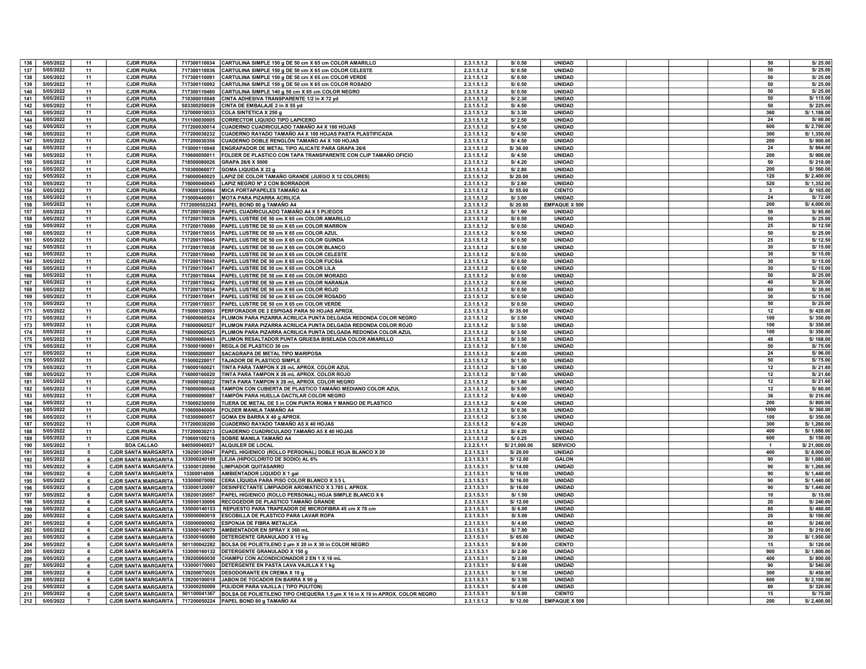| 136 | 5/05/2022 | 11             | <b>CJDR PIURA</b>           | 717300110034  |                                                                                           | 2.3.1.5.1.2 | S/ 0.50     | <b>UNIDAD</b>        |  |  | 50           | S/25.00     |
|-----|-----------|----------------|-----------------------------|---------------|-------------------------------------------------------------------------------------------|-------------|-------------|----------------------|--|--|--------------|-------------|
|     |           |                |                             |               | CARTULINA SIMPLE 150 g DE 50 cm X 65 cm COLOR AMARILLO                                    |             |             |                      |  |  |              |             |
| 137 | 5/05/2022 | 11             | <b>CJDR PIURA</b>           | 717300110036  | CARTULINA SIMPLE 150 g DE 50 cm X 65 cm COLOR CELESTE                                     | 2.3.1.5.1.2 | S/0.50      | UNIDAD               |  |  | 50           | S/25.00     |
| 138 | 5/05/2022 | 11             | <b>CJDR PIURA</b>           | 717300110091  | CARTULINA SIMPLE 150 g DE 50 cm X 65 cm COLOR VERDE                                       | 2.3.1.5.1.2 | S/0.50      | UNIDAD               |  |  | 50           | S/25.00     |
|     |           |                |                             |               |                                                                                           |             |             |                      |  |  |              |             |
| 139 | 5/05/2022 | 11             | <b>CJDR PIURA</b>           | 717300110092  | CARTULINA SIMPLE 150 g DE 50 cm X 65 cm COLOR ROSADO                                      | 2.3.1.5.1.2 | S/ 0.50     | <b>UNIDAD</b>        |  |  | 50           | S/25.00     |
| 140 | 5/05/2022 | 11             | <b>CJDR PIURA</b>           | 717300110480  | CARTULINA SIMPLE 140 g 50 cm X 65 cm COLOR NEGRO                                          | 2.3.1.5.1.2 | S/ 0.50     | <b>UNIDAD</b>        |  |  | 50           | S/25.00     |
|     |           |                |                             |               |                                                                                           |             |             |                      |  |  |              |             |
| 141 | 5/05/2022 | 11             | <b>CJDR PIURA</b>           | 710300010048  | CINTA ADHESIVA TRANSPARENTE 1/2 in X 72 yd                                                | 2.3.1.5.1.2 | S/ 2.30     | UNIDAD               |  |  | 50           | S/ 115.00   |
| 142 | 5/05/2022 | 11             | <b>CJDR PIURA</b>           | 503300250039  | CINTA DE EMBALAJE 2 in X 55 yd                                                            | 2.3.1.5.1.2 | S/ 4.50     | UNIDAD               |  |  | 50           | S/225.00    |
|     |           |                |                             |               |                                                                                           |             |             |                      |  |  |              |             |
| 143 | 5/05/2022 | 11             | <b>CJDR PIURA</b>           | 737000010033  | COLA SINTETICA X 250 g                                                                    | 2.3.1.5.1.2 | S/3.30      | UNIDAD               |  |  | 360          | S/ 1,188.00 |
| 144 | 5/05/2022 | 11             | <b>CJDR PIURA</b>           | 711100030005  | <b>CORRECTOR LIQUIDO TIPO LAPICERO</b>                                                    | 2.3.1.5.1.2 | S/2.50      | UNIDAD               |  |  | 24           | S/60.00     |
|     |           |                |                             |               |                                                                                           |             |             |                      |  |  |              |             |
| 145 | 5/05/2022 | 11             | <b>CJDR PIURA</b>           | 717200030014  | CUADERNO CUADRICULADO TAMAÑO A4 X 100 HOJAS                                               | 2.3.1.5.1.2 | S/ 4.50     | UNIDAD               |  |  | 600          | S/2,700.00  |
| 146 | 5/05/2022 | 11             | <b>CJDR PIURA</b>           | 717200030232  | CUADERNO RAYADO TAMAÑO A4 X 100 HOJAS PASTA PLASTIFICADA                                  | 2.3.1.5.1.2 | S/4.50      | UNIDAD               |  |  | 300          | S/ 1,350.00 |
|     |           |                |                             |               |                                                                                           |             |             |                      |  |  |              |             |
| 147 | 5/05/2022 | 11             | <b>CJDR PIURA</b>           | 717200030356  | CUADERNO DOBLE RENGLÓN TAMAÑO A4 X 100 HOJAS                                              | 2.3.1.5.1.2 | S/ 4.50     | <b>UNIDAD</b>        |  |  | 200          | S/900.00    |
| 148 | 5/05/2022 | 11             | <b>CJDR PIURA</b>           | 715000110048  | ENGRAPADOR DE METAL TIPO ALICATE PARA GRAPA 26/6                                          | 2.3.1.5.1.2 | S/36.00     | <b>UNIDAD</b>        |  |  | 24           | S/864.00    |
|     |           |                |                             |               |                                                                                           |             |             |                      |  |  |              |             |
| 149 | 5/05/2022 | 11             | <b>CJDR PIURA</b>           | 710600050011  | FOLDER DE PLASTICO CON TAPA TRANSPARENTE CON CLIP TAMAÑO OFICIO                           | 2.3.1.5.1.2 | S/ 4.50     | <b>UNIDAD</b>        |  |  | 200          | S/900.00    |
| 150 | 5/05/2022 | 11             | <b>CJDR PIURA</b>           | 718500080026  | GRAPA 26/6 X 5000                                                                         | 2.3.1.5.1.2 | S/4.20      | <b>UNIDAD</b>        |  |  | 50           | S/210.00    |
|     |           |                |                             |               |                                                                                           |             |             |                      |  |  |              |             |
| 151 | 5/05/2022 | 11             | <b>CJDR PIURA</b>           | 710300060077  | GOMA LIQUIDA X 22 g                                                                       | 2.3.1.5.1.2 | S/2.80      | UNIDAD               |  |  | 200          | S/560.00    |
| 152 | 5/05/2022 | 11             | <b>CJDR PIURA</b>           | 716000040025  | LAPIZ DE COLOR TAMAÑO GRANDE (JUEGO X 12 COLORES)                                         | 2.3.1.5.1.2 | S/20.00     | UNIDAD               |  |  | 120          | S/2,400.00  |
|     |           |                |                             |               |                                                                                           |             |             |                      |  |  |              |             |
| 153 | 5/05/2022 | 11             | <b>CJDR PIURA</b>           | 716000040045  | LAPIZ NEGRO Nº 2 CON BORRADOR                                                             | 2.3.1.5.1.2 | S/2.60      | UNIDAD               |  |  | 520          | S/ 1,352.00 |
| 154 | 5/05/2022 | 11             | <b>CJDR PIURA</b>           | 710600120064  | MICA PORTAPAPELES TAMAÑO A4                                                               | 2.3.1.5.1.2 | S/ 55.00    | <b>CIENTO</b>        |  |  | 3            | S/ 165.00   |
|     |           |                |                             |               |                                                                                           |             |             |                      |  |  |              |             |
| 155 | 5/05/2022 | 11             | <b>CJDR PIURA</b>           | 715000440001  | <b>MOTA PARA PIZARRA ACRILICA</b>                                                         | 2.3.1.5.1.2 | S/3.00      | <b>UNIDAD</b>        |  |  | 24           | S/72.00     |
| 156 | 5/05/2022 | 11             | <b>CJDR PIURA</b>           | 7172000502243 | PAPEL BOND 80 g TAMAÑO A4                                                                 | 2.3.1.5.1.2 | S/20.00     | <b>EMPAQUE X 500</b> |  |  | 200          | S/4,000.00  |
|     | 5/05/2022 |                |                             |               |                                                                                           |             |             |                      |  |  | 50           | S/95.0      |
| 157 |           | 11             | <b>CJDR PIURA</b>           | 717200150029  | PAPEL CUADRICULADO TAMAÑO A4 X 5 PLIEGOS                                                  | 2.3.1.5.1.2 | S/ 1.90     | <b>UNIDAD</b>        |  |  |              |             |
| 158 | 5/05/2022 | 11             | <b>CJDR PIURA</b>           | 717200170036  | PAPEL LUSTRE DE 50 cm X 65 cm COLOR AMARILLO                                              | 2.3.1.5.1.2 | S/0.50      | UNIDAD               |  |  | 50           | S/25.00     |
|     |           |                |                             |               |                                                                                           |             |             |                      |  |  |              |             |
| 159 | 5/05/2022 | 11             | <b>CJDR PIURA</b>           | 717200170080  | PAPEL LUSTRE DE 50 cm X 65 cm COLOR MARRON                                                | 2.3.1.5.1.2 | S/0.50      | <b>UNIDAD</b>        |  |  | 25           | S/ 12.50    |
| 160 | 5/05/2022 | 11             | <b>CJDR PIURA</b>           | 717200170035  | PAPEL LUSTRE DE 50 cm X 65 cm COLOR AZUL                                                  | 2.3.1.5.1.2 | S/0.50      | UNIDAD               |  |  | 50           | S/25.0      |
|     | 5/05/2022 |                | <b>CJDR PIURA</b>           | 717200170045  |                                                                                           |             | S/0.50      | UNIDAD               |  |  | 25           | S/ 12.50    |
| 161 |           | 11             |                             |               | PAPEL LUSTRE DE 50 cm X 65 cm COLOR GUINDA                                                | 2.3.1.5.1.2 |             |                      |  |  |              |             |
| 162 | 5/05/2022 | 11             | <b>CJDR PIURA</b>           | 717200170038  | PAPEL LUSTRE DE 50 cm X 65 cm COLOR BLANCO                                                | 2.3.1.5.1.2 | S/0.50      | <b>UNIDAD</b>        |  |  | 30           | S/ 15.00    |
|     |           |                |                             |               |                                                                                           |             |             |                      |  |  |              |             |
| 163 | 5/05/2022 | 11             | <b>CJDR PIURA</b>           | 717200170040  | PAPEL LUSTRE DE 50 cm X 65 cm COLOR CELESTE                                               | 2.3.1.5.1.2 | S/0.50      | <b>UNIDAD</b>        |  |  | 30           | S/ 15.00    |
| 164 | 5/05/2022 | 11             | <b>CJDR PIURA</b>           | 717200170043  | PAPEL LUSTRE DE 50 cm X 65 cm COLOR FUCSIA                                                | 2.3.1.5.1.2 | S/ 0.50     | <b>UNIDAD</b>        |  |  | 30           | S/ 15.00    |
|     |           | 11             |                             |               |                                                                                           |             | S/0.50      | UNIDAD               |  |  |              |             |
| 165 | 5/05/2022 |                | <b>CJDR PIURA</b>           | 717200170047  | PAPEL LUSTRE DE 50 cm X 65 cm COLOR LILA                                                  | 2.3.1.5.1.2 |             |                      |  |  | 30           | S/ 15.00    |
| 166 | 5/05/2022 | 11             | <b>CJDR PIURA</b>           | 717200170044  | PAPEL LUSTRE DE 50 cm X 65 cm COLOR MORADO                                                | 2.3.1.5.1.2 | S/ 0.50     | UNIDAD               |  |  | 50           | S/25.00     |
| 167 | 5/05/2022 | 11             | <b>CJDR PIURA</b>           | 717200170042  |                                                                                           | 2.3.1.5.1.2 | S/ 0.50     | UNIDAD               |  |  | 40           | S/20.00     |
|     |           |                |                             |               | PAPEL LUSTRE DE 50 cm X 65 cm COLOR NARANJA                                               |             |             |                      |  |  |              |             |
| 168 | 5/05/2022 | 11             | <b>CJDR PIURA</b>           | 717200170034  | PAPEL LUSTRE DE 50 cm X 65 cm COLOR ROJO                                                  | 2.3.1.5.1.2 | S/0.50      | <b>UNIDAD</b>        |  |  | 60           | S/30.00     |
| 169 | 5/05/2022 | 11             | <b>CJDR PIURA</b>           | 717200170041  | PAPEL LUSTRE DE 50 cm X 65 cm COLOR ROSADO                                                | 2.3.1.5.1.2 | S/ 0.50     | <b>UNIDAD</b>        |  |  | 30           | S/ 15.00    |
|     |           |                |                             |               |                                                                                           |             |             |                      |  |  |              |             |
| 170 | 5/05/2022 | 11             | <b>CJDR PIURA</b>           | 717200170037  | PAPEL LUSTRE DE 50 cm X 65 cm COLOR VERDE                                                 | 2.3.1.5.1.2 | S/0.50      | <b>UNIDAD</b>        |  |  | 50           | S/25.00     |
| 171 | 5/05/2022 | 11             | <b>CJDR PIURA</b>           | 715000120003  | PERFORADOR DE 2 ESPIGAS PARA 50 HOJAS APROX.                                              | 2.3.1.5.1.2 | S/35.00     | <b>UNIDAD</b>        |  |  | 12           | S/420.00    |
|     |           |                |                             |               |                                                                                           |             |             |                      |  |  |              |             |
| 172 | 5/05/2022 | 11             | <b>CJDR PIURA</b>           | 716000060524  | PLUMON PARA PIZARRA ACRILICA PUNTA DELGADA REDONDA COLOR NEGRO                            | 2.3.1.5.1.2 | S/3.50      | <b>UNIDAD</b>        |  |  | 100          | S/350.00    |
| 173 | 5/05/2022 | 11             | <b>CJDR PIURA</b>           | 716000060527  | PLUMON PARA PIZARRA ACRILICA PUNTA DELGADA REDONDA COLOR ROJO                             | 2.3.1.5.1.2 | S/3.50      | UNIDAD               |  |  | 100          | S/350.00    |
|     |           |                |                             |               |                                                                                           |             |             |                      |  |  |              |             |
| 174 | 5/05/2022 | 11             | <b>CJDR PIURA</b>           | 716000060525  | PLUMON PARA PIZARRA ACRILICA PUNTA DELGADA REDONDA COLOR AZUL                             | 2.3.1.5.1.2 | S/3.50      | UNIDAD               |  |  | 100          | S/350.00    |
| 175 | 5/05/2022 | 11             | <b>CJDR PIURA</b>           | 716000060443  | PLUMON RESALTADOR PUNTA GRUESA BISELADA COLOR AMARILLO                                    | 2.3.1.5.1.2 | S/3.50      | UNIDAD               |  |  | 48           | S/ 168.00   |
|     |           |                |                             |               |                                                                                           |             |             |                      |  |  |              |             |
| 176 | 5/05/2022 | 11             | <b>CJDR PIURA</b>           | 715000190001  | REGLA DE PLASTICO 30 cm                                                                   | 2.3.1.5.1.2 | S/ 1.50     | UNIDAD               |  |  | 50           | S/75.00     |
| 177 | 5/05/2022 | 11             | <b>CJDR PIURA</b>           | 715000200007  | SACAGRAPA DE METAL TIPO MARIPOSA                                                          | 2.3.1.5.1.2 | S/4.00      | UNIDAD               |  |  | 24           | S/96.00     |
|     |           |                |                             |               |                                                                                           |             |             |                      |  |  | 50           |             |
| 178 | 5/05/2022 | 11             | <b>CJDR PIURA</b>           | 715000220017  | <b>TAJADOR DE PLASTICO SIMPLE</b>                                                         | 2.3.1.5.1.2 | S/ 1.50     | <b>UNIDAD</b>        |  |  |              | S/75.00     |
| 179 | 5/05/2022 | 11             | <b>CJDR PIURA</b>           | 716000160021  | TINTA PARA TAMPON X 28 mL APROX. COLOR AZUL                                               | 2.3.1.5.1.2 | S/ 1.80     | <b>UNIDAD</b>        |  |  | 12           | S/21.60     |
|     |           | 11             |                             | 716000160020  |                                                                                           |             | S/ 1.80     |                      |  |  | 12           | S/21.60     |
| 180 | 5/05/2022 |                | <b>CJDR PIURA</b>           |               | TINTA PARA TAMPON X 28 mL APROX. COLOR ROJO                                               | 2.3.1.5.1.2 |             | <b>UNIDAD</b>        |  |  |              |             |
| 181 | 5/05/2022 | 11             | <b>CJDR PIURA</b>           | 716000160022  | TINTA PARA TAMPON X 28 mL APROX. COLOR NEGRO                                              | 2.3.1.5.1.2 | S/ 1.80     | UNIDAD               |  |  | 12           | S/21.60     |
|     | 5/05/2022 | 11             | <b>CJDR PIURA</b>           | 716000090048  |                                                                                           |             | S/5.00      | UNIDAD               |  |  | 12           | S/60.00     |
| 182 |           |                |                             |               | TAMPON CON CUBIERTA DE PLASTICO TAMAÑO MEDIANO COLOR AZUL                                 | 2.3.1.5.1.2 |             |                      |  |  |              |             |
| 183 | 5/05/2022 | 11             | <b>CJDR PIURA</b>           | 716000090087  | TAMPÓN PARA HUELLA DACTILAR COLOR NEGRO                                                   | 2.3.1.5.1.2 | S/6.00      | UNIDAD               |  |  | 36           | S/216.00    |
| 184 | 5/05/2022 | 11             | <b>CJDR PIURA</b>           | 715000230050  | TIJERA DE METAL DE 5 in CON PUNTA ROMA Y MANGO DE PLASTICO                                | 2.3.1.5.1.2 | S/4.00      | UNIDAD               |  |  | 200          | S/800.00    |
|     |           |                |                             |               |                                                                                           |             |             |                      |  |  |              |             |
| 185 | 5/05/2022 | 11             | <b>CJDR PIURA</b>           | 710600040004  | FOLDER MANILA TAMAÑO A4                                                                   | 2.3.1.5.1.2 | S/0.36      | UNIDAD               |  |  | 1000         | S/360.00    |
| 186 | 5/05/2022 | 11             | <b>CJDR PIURA</b>           | 710300060057  | GOMA EN BARRA X 40 g APROX.                                                               | 2.3.1.5.1.2 | S/3.50      | <b>UNIDAD</b>        |  |  | 100          | S/350.00    |
|     |           |                |                             |               |                                                                                           |             |             |                      |  |  |              |             |
| 187 | 5/05/2022 | 11             | <b>CJDR PIURA</b>           | 717200030290  | CUADERNO RAYADO TAMAÑO A5 X 40 HOJAS                                                      | 2.3.1.5.1.2 | S/ 4.20     | <b>UNIDAD</b>        |  |  | 300          | S/ 1,260.00 |
| 188 | 5/05/2022 | 11             | <b>CJDR PIURA</b>           | 717200030213  | CUADERNO CUADRICULADO TAMAÑO A5 X 40 HOJAS                                                | 2.3.1.5.1.2 | S/ 4.20     | <b>UNIDAD</b>        |  |  | 400          | S/ 1,680.00 |
|     |           |                |                             |               |                                                                                           |             |             |                      |  |  |              |             |
| 189 | 5/05/2022 | 11             | <b>C.IDR PILIRA</b>         |               | 710600100216 SOBRE MANILA TAMAÑO A4                                                       | 2.3.1.5.1.2 | S/0.25      | <b>IINIDAD</b>       |  |  | 600          | S/ 150.00   |
| 190 | 5/05/2022 | $\mathbf{1}$   | SOA CALLAO                  |               | 940500040027 ALQUILER DE LOCAL                                                            | 2.3.2.5.1.1 | S/21.000.00 | <b>SERVICIO</b>      |  |  | $\mathbf{1}$ | S/21.000.00 |
|     |           |                |                             |               |                                                                                           |             |             |                      |  |  |              |             |
| 191 | 5/05/2022 | 5              | <b>CJDR SANTA MARGARITA</b> | 139200120047  | PAPEL HIGIENICO (ROLLO PERSONAL) DOBLE HOJA BLANCO X 20                                   | 2.3.1.5.3.1 | S/20.00     | UNIDAD               |  |  | 400          | S/8,000.00  |
| 192 | 5/05/2022 | 6              | <b>CJDR SANTA MARGARITA</b> | 133000240109  | LEJIA (HIPOCLORITO DE SODIO) AL 6%                                                        | 2.3.1.5.3.1 | S/ 12.00    | <b>GALON</b>         |  |  | 90           | S/ 1,080.0  |
|     |           |                |                             |               |                                                                                           |             |             |                      |  |  |              |             |
| 193 | 5/05/2022 | 6              | <b>CJDR SANTA MARGARITA</b> | 133000120090  | <b>LIMPIADOR QUITASARRO</b>                                                               | 2.3.1.5.3.1 | S/ 14.00    | <b>UNIDAD</b>        |  |  | 90           | S/ 1,260.00 |
| 194 | 5/05/2022 | 6              | <b>CJDR SANTA MARGARITA</b> | 13300014008   | AMBIENTADOR LIQUIDO X 1 gal                                                               | 2.3.1.5.3.1 | S/ 16.00    | <b>UNIDAD</b>        |  |  | 90           | S/ 1,440.00 |
|     |           |                |                             |               |                                                                                           |             |             |                      |  |  |              | S/ 1,440.00 |
| 195 | 5/05/2022 | 6              | <b>CJDR SANTA MARGARITA</b> | 133000070092  | CERA LÍQUIDA PARA PISO COLOR BLANCO X 3.5 L                                               | 2.3.1.5.3.1 | S/ 16.00    | <b>UNIDAD</b>        |  |  | 90           |             |
| 196 | 5/05/2022 | 6              | <b>CJDR SANTA MARGARITA</b> | 133000120097  | <b>DESINFECTANTE LIMPIADOR AROMATICO X 3.785 L APROX.</b>                                 | 2.3.1.5.3.1 | S/16.00     | <b>UNIDAD</b>        |  |  | 90           | S/ 1.440.00 |
| 197 | 5/05/2022 | - 6            | <b>CJDR SANTA MARGARITA</b> | 139200120057  | PAPEL HIGIENICO (ROLLO PERSONAL) HOJA SIMPLE BLANCO X 6                                   | 2.3.1.5.3.1 | S/ 1.50     | UNIDAD               |  |  | 10           | S/ 15.00    |
|     |           |                |                             |               |                                                                                           |             |             |                      |  |  |              |             |
| 198 | 5/05/2022 | 6              | <b>CJDR SANTA MARGARITA</b> | 135000130006  | RECOGEDOR DE PLASTICO TAMAÑO GRANDE                                                       | 2.3.1.5.3.1 | S/ 12.00    | UNIDAD               |  |  | 20           | S/240.00    |
| 199 | 5/05/2022 |                | <b>CJDR SANTA MARGARITA</b> | 135000140153  | REPUESTO PARA TRAPEADOR DE MICROFIBRA 45 cm X 70 cm                                       | 2.3.1.5.3.1 | S/6.00      | <b>UNIDAD</b>        |  |  | 80           | S/480.0     |
|     |           |                |                             |               |                                                                                           |             |             |                      |  |  |              |             |
| 200 | 5/05/2022 |                | <b>CJDR SANTA MARGARITA</b> | 135000060019  | <b>ESCOBILLA DE PLASTICO PARA LAVAR ROPA</b>                                              | 2.3.1.5.3.1 | S/ 5.00     | <b>UNIDAD</b>        |  |  | 20           | S/ 100.00   |
| 201 | 5/05/2022 | 6              | <b>CJDR SANTA MARGARITA</b> | 135000090002  | <b>ESPONJA DE FIBRA METALICA</b>                                                          | 2.3.1.5.3.1 | S/4.00      | <b>UNIDAD</b>        |  |  | 60           | S/240.00    |
|     |           |                |                             |               |                                                                                           |             |             |                      |  |  |              |             |
| 202 | 5/05/2022 | 6              | <b>CJDR SANTA MARGARITA</b> |               | 133000140079 AMBIENTADOR EN SPRAY X 360 mL                                                | 2.3.1.5.3.1 | S/7.00      | <b>UNIDAD</b>        |  |  | 30           | S/210.00    |
| 203 | 5/05/2022 | 6              | <b>CJDR SANTA MARGARITA</b> | 133000160080  | DETERGENTE GRANULADO X 15 kg                                                              | 2.3.1.5.3.1 | S/65.00     | <b>UNIDAD</b>        |  |  | 30           | S/ 1,950.00 |
|     | 5/05/2022 |                |                             | 501100042282  | BOLSA DE POLIETILENO 2 µm X 20 in X 30 in COLOR NEGRO                                     | 2.3.1.5.3.1 | S/ 8.00     | <b>CIENTO</b>        |  |  | 15           | S/120.00    |
| 204 |           | 6              | <b>CJDR SANTA MARGARITA</b> |               |                                                                                           |             |             |                      |  |  |              |             |
| 205 | 5/05/2022 | 6              | <b>CJDR SANTA MARGARITA</b> | 133000160132  | DETERGENTE GRANULADO X 150 g                                                              | 2.3.1.5.3.1 | S/2.00      | <b>UNIDAD</b>        |  |  | 900          | S/ 1.800.00 |
| 206 | 5/05/2022 | 6              | <b>CJDR SANTA MARGARITA</b> | 139200060030  | CHAMPU CON ACONDICIONADOR 2 EN 1 X 18 mL                                                  | 2.3.1.5.3.1 | S/2.00      | UNIDAD               |  |  | 400          | S/800.00    |
|     |           |                |                             |               |                                                                                           |             |             |                      |  |  |              |             |
| 207 | 5/05/2022 | - 6            | <b>CJDR SANTA MARGARITA</b> | 133000170003  | DETERGENTE EN PASTA LAVA VAJILLA X 1 kg                                                   | 2.3.1.5.3.1 | S/6.00      | <b>UNIDAD</b>        |  |  | 90           | S/ 540.0    |
|     |           | 6              | <b>CJDR SANTA MARGARITA</b> | 139200070025  | <b>DESODORANTE EN CREMA X 10 g</b>                                                        | 2.3.1.5.3.1 | S/ 1.50     | UNIDAD               |  |  | 300          | S/450.00    |
|     |           |                |                             |               |                                                                                           |             |             |                      |  |  |              |             |
| 208 | 5/05/2022 |                |                             |               |                                                                                           |             |             |                      |  |  |              |             |
| 209 | 5/05/2022 |                | <b>CJDR SANTA MARGARITA</b> |               | 139200100018 JABON DE TOCADOR EN BARRA X 90                                               | 2.3.1.5.3.1 | S/3.50      | <b>UNIDAD</b>        |  |  | 600          | S/2,100.00  |
|     | 5/05/2022 |                |                             | 133000250009  |                                                                                           |             |             |                      |  |  |              |             |
| 210 |           |                | <b>CJDR SANTA MARGARITA</b> |               | PULIDOR PARA VAJILLA (TIPO PULITON)                                                       | 2.3.1.5.3.1 | S/4.00      | <b>UNIDAD</b>        |  |  | 80           | S/320.00    |
| 211 | 5/05/2022 | 6              | <b>CJDR SANTA MARGARITA</b> |               | 501100041367 BOLSA DE POLIETILENO TIPO CHEQUERA 1.5 µm X 16 in X 19 in APROX. COLOR NEGRO | 2.3.1.5.3.1 | S/5.00      | <b>CIENTO</b>        |  |  | 15           | S/75.00     |
| 212 | 5/05/2022 | $\overline{7}$ | <b>CJDR SANTA MARGARITA</b> |               | 717200050224 PAPEL BOND 80 g TAMAÑO A4                                                    | 2.3.1.5.1.2 | S/ 12.00    | <b>EMPAQUE X 500</b> |  |  | 200          | S/2,400.00  |